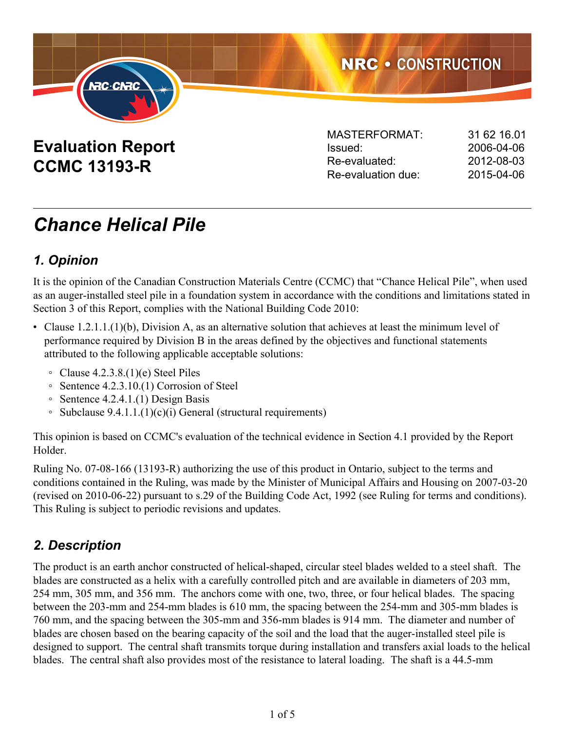

# **Evaluation Report CCMC 13193-R**

| <b>MASTERFORMAT:</b> | 31 62 16 01 |
|----------------------|-------------|
| Issued:              | 2006-04-06  |
| Re-evaluated:        | 2012-08-03  |
| Re-evaluation due:   | 2015-04-06  |
|                      |             |

# *Chance Helical Pile*

# *1. Opinion*

It is the opinion of the Canadian Construction Materials Centre (CCMC) that "Chance Helical Pile", when used as an auger-installed steel pile in a foundation system in accordance with the conditions and limitations stated in Section 3 of this Report, complies with the National Building Code 2010:

- Clause 1.2.1.1.(1)(b), Division A, as an alternative solution that achieves at least the minimum level of performance required by Division B in the areas defined by the objectives and functional statements attributed to the following applicable acceptable solutions:
	- $\degree$  Clause 4.2.3.8.(1)(e) Steel Piles
	- Sentence 4.2.3.10.(1) Corrosion of Steel
	- Sentence 4.2.4.1.(1) Design Basis
	- Subclause 9.4.1.1.(1)(c)(i) General (structural requirements)

This opinion is based on CCMC's evaluation of the technical evidence in Section 4.1 provided by the Report Holder.

Ruling No. 07-08-166 (13193-R) authorizing the use of this product in Ontario, subject to the terms and conditions contained in the Ruling, was made by the Minister of Municipal Affairs and Housing on 2007-03-20 (revised on 2010-06-22) pursuant to s.29 of the Building Code Act, 1992 (see Ruling for terms and conditions). This Ruling is subject to periodic revisions and updates.

## *2. Description*

The product is an earth anchor constructed of helical-shaped, circular steel blades welded to a steel shaft. The blades are constructed as a helix with a carefully controlled pitch and are available in diameters of 203 mm, 254 mm, 305 mm, and 356 mm. The anchors come with one, two, three, or four helical blades. The spacing between the 203-mm and 254-mm blades is 610 mm, the spacing between the 254-mm and 305-mm blades is 760 mm, and the spacing between the 305-mm and 356-mm blades is 914 mm. The diameter and number of blades are chosen based on the bearing capacity of the soil and the load that the auger-installed steel pile is designed to support. The central shaft transmits torque during installation and transfers axial loads to the helical blades. The central shaft also provides most of the resistance to lateral loading. The shaft is a 44.5-mm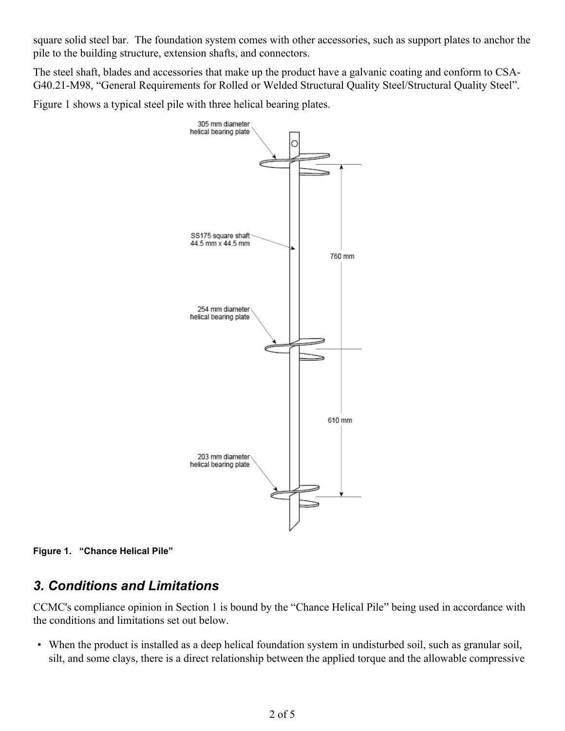square solid steel bar. The foundation system comes with other accessories, such as support plates to anchor the pile to the building structure, extension shafts, and connectors.

The steel shaft, blades and accessories that make up the product have a galvanic coating and conform to CSA-G40.21-M98, "General Requirements for Rolled or Welded Structural Quality Steel/Structural Quality Steel".

Figure 1 shows a typical steel pile with three helical bearing plates.





## *3. Conditions and Limitations*

CCMC's compliance opinion in Section 1 is bound by the "Chance Helical Pile" being used in accordance with the conditions and limitations set out below.

• When the product is installed as a deep helical foundation system in undisturbed soil, such as granular soil, silt, and some clays, there is a direct relationship between the applied torque and the allowable compressive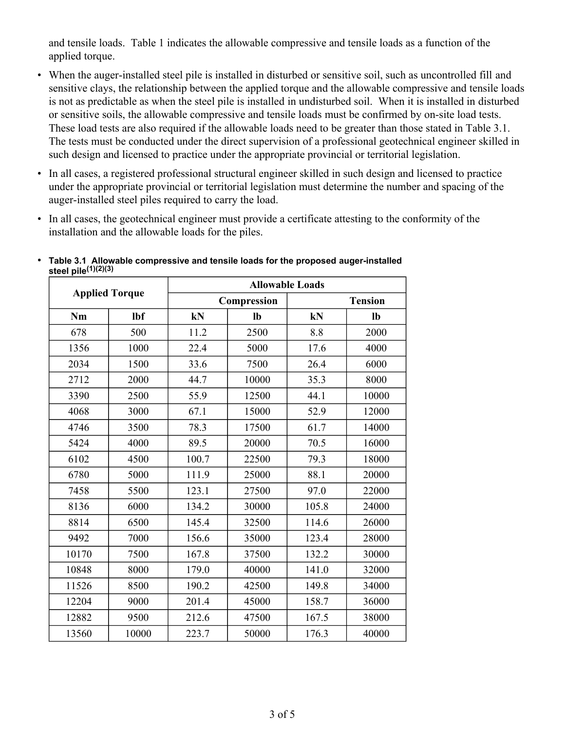and tensile loads. Table 1 indicates the allowable compressive and tensile loads as a function of the applied torque.

- When the auger-installed steel pile is installed in disturbed or sensitive soil, such as uncontrolled fill and sensitive clays, the relationship between the applied torque and the allowable compressive and tensile loads is not as predictable as when the steel pile is installed in undisturbed soil. When it is installed in disturbed or sensitive soils, the allowable compressive and tensile loads must be confirmed by on-site load tests. These load tests are also required if the allowable loads need to be greater than those stated in Table 3.1. The tests must be conducted under the direct supervision of a professional geotechnical engineer skilled in such design and licensed to practice under the appropriate provincial or territorial legislation.
- In all cases, a registered professional structural engineer skilled in such design and licensed to practice under the appropriate provincial or territorial legislation must determine the number and spacing of the auger-installed steel piles required to carry the load.
- In all cases, the geotechnical engineer must provide a certificate attesting to the conformity of the installation and the allowable loads for the piles.

| <b>Applied Torque</b> |       | <b>Allowable Loads</b> |             |                |       |  |
|-----------------------|-------|------------------------|-------------|----------------|-------|--|
|                       |       |                        | Compression | <b>Tension</b> |       |  |
| Nm                    | lbf   | kN                     | lb          | kN             | lb    |  |
| 678                   | 500   | 11.2                   | 2500        | 8.8            | 2000  |  |
| 1356                  | 1000  | 22.4                   | 5000        | 17.6           | 4000  |  |
| 2034                  | 1500  | 33.6                   | 7500        | 26.4           | 6000  |  |
| 2712                  | 2000  | 44.7                   | 10000       | 35.3           | 8000  |  |
| 3390                  | 2500  | 55.9                   | 12500       | 44.1           | 10000 |  |
| 4068                  | 3000  | 67.1                   | 15000       | 52.9           | 12000 |  |
| 4746                  | 3500  | 78.3                   | 17500       | 61.7           | 14000 |  |
| 5424                  | 4000  | 89.5                   | 20000       | 70.5           | 16000 |  |
| 6102                  | 4500  | 100.7                  | 22500       | 79.3           | 18000 |  |
| 6780                  | 5000  | 111.9                  | 25000       | 88.1           | 20000 |  |
| 7458                  | 5500  | 123.1                  | 27500       | 97.0           | 22000 |  |
| 8136                  | 6000  | 134.2                  | 30000       | 105.8          | 24000 |  |
| 8814                  | 6500  | 145.4                  | 32500       | 114.6          | 26000 |  |
| 9492                  | 7000  | 156.6                  | 35000       | 123.4          | 28000 |  |
| 10170                 | 7500  | 167.8                  | 37500       | 132.2          | 30000 |  |
| 10848                 | 8000  | 179.0                  | 40000       | 141.0          | 32000 |  |
| 11526                 | 8500  | 190.2                  | 42500       | 149.8          | 34000 |  |
| 12204                 | 9000  | 201.4                  | 45000       | 158.7          | 36000 |  |
| 12882                 | 9500  | 212.6                  | 47500       | 167.5          | 38000 |  |
| 13560                 | 10000 | 223.7                  | 50000       | 176.3          | 40000 |  |

• **Table 3.1 Allowable compressive and tensile loads for the proposed auger-installed steel pile(1)(2)(3)**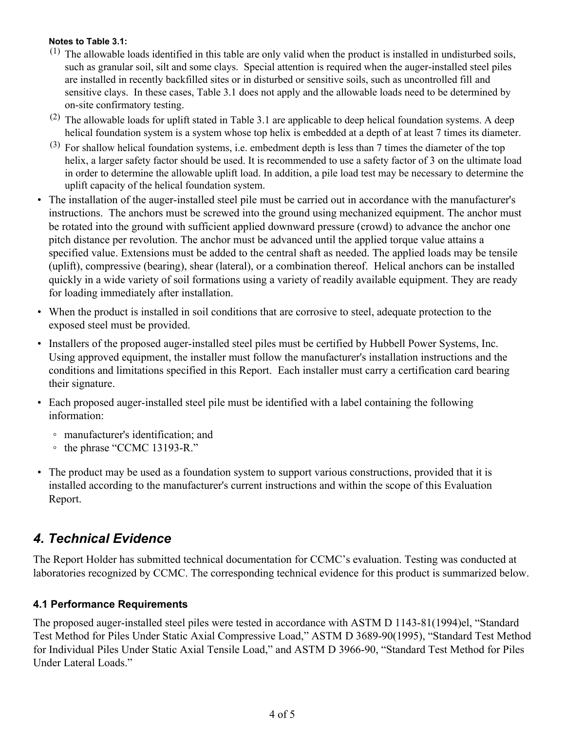#### **Notes to Table 3.1:**

- $(1)$  The allowable loads identified in this table are only valid when the product is installed in undisturbed soils, such as granular soil, silt and some clays. Special attention is required when the auger-installed steel piles are installed in recently backfilled sites or in disturbed or sensitive soils, such as uncontrolled fill and sensitive clays. In these cases, Table 3.1 does not apply and the allowable loads need to be determined by on-site confirmatory testing.
- $(2)$  The allowable loads for uplift stated in Table 3.1 are applicable to deep helical foundation systems. A deep helical foundation system is a system whose top helix is embedded at a depth of at least 7 times its diameter.
- $(3)$  For shallow helical foundation systems, i.e. embedment depth is less than 7 times the diameter of the top helix, a larger safety factor should be used. It is recommended to use a safety factor of 3 on the ultimate load in order to determine the allowable uplift load. In addition, a pile load test may be necessary to determine the uplift capacity of the helical foundation system.
- The installation of the auger-installed steel pile must be carried out in accordance with the manufacturer's instructions. The anchors must be screwed into the ground using mechanized equipment. The anchor must be rotated into the ground with sufficient applied downward pressure (crowd) to advance the anchor one pitch distance per revolution. The anchor must be advanced until the applied torque value attains a specified value. Extensions must be added to the central shaft as needed. The applied loads may be tensile (uplift), compressive (bearing), shear (lateral), or a combination thereof. Helical anchors can be installed quickly in a wide variety of soil formations using a variety of readily available equipment. They are ready for loading immediately after installation.
- When the product is installed in soil conditions that are corrosive to steel, adequate protection to the exposed steel must be provided.
- Installers of the proposed auger-installed steel piles must be certified by Hubbell Power Systems, Inc. Using approved equipment, the installer must follow the manufacturer's installation instructions and the conditions and limitations specified in this Report. Each installer must carry a certification card bearing their signature.
- Each proposed auger-installed steel pile must be identified with a label containing the following information:
	- manufacturer's identification; and
	- the phrase "CCMC 13193-R."
- The product may be used as a foundation system to support various constructions, provided that it is installed according to the manufacturer's current instructions and within the scope of this Evaluation Report.

## *4. Technical Evidence*

The Report Holder has submitted technical documentation for CCMC's evaluation. Testing was conducted at laboratories recognized by CCMC. The corresponding technical evidence for this product is summarized below.

#### **4.1 Performance Requirements**

The proposed auger-installed steel piles were tested in accordance with ASTM D 1143-81(1994)el, "Standard Test Method for Piles Under Static Axial Compressive Load," ASTM D 3689-90(1995), "Standard Test Method for Individual Piles Under Static Axial Tensile Load," and ASTM D 3966-90, "Standard Test Method for Piles Under Lateral Loads."